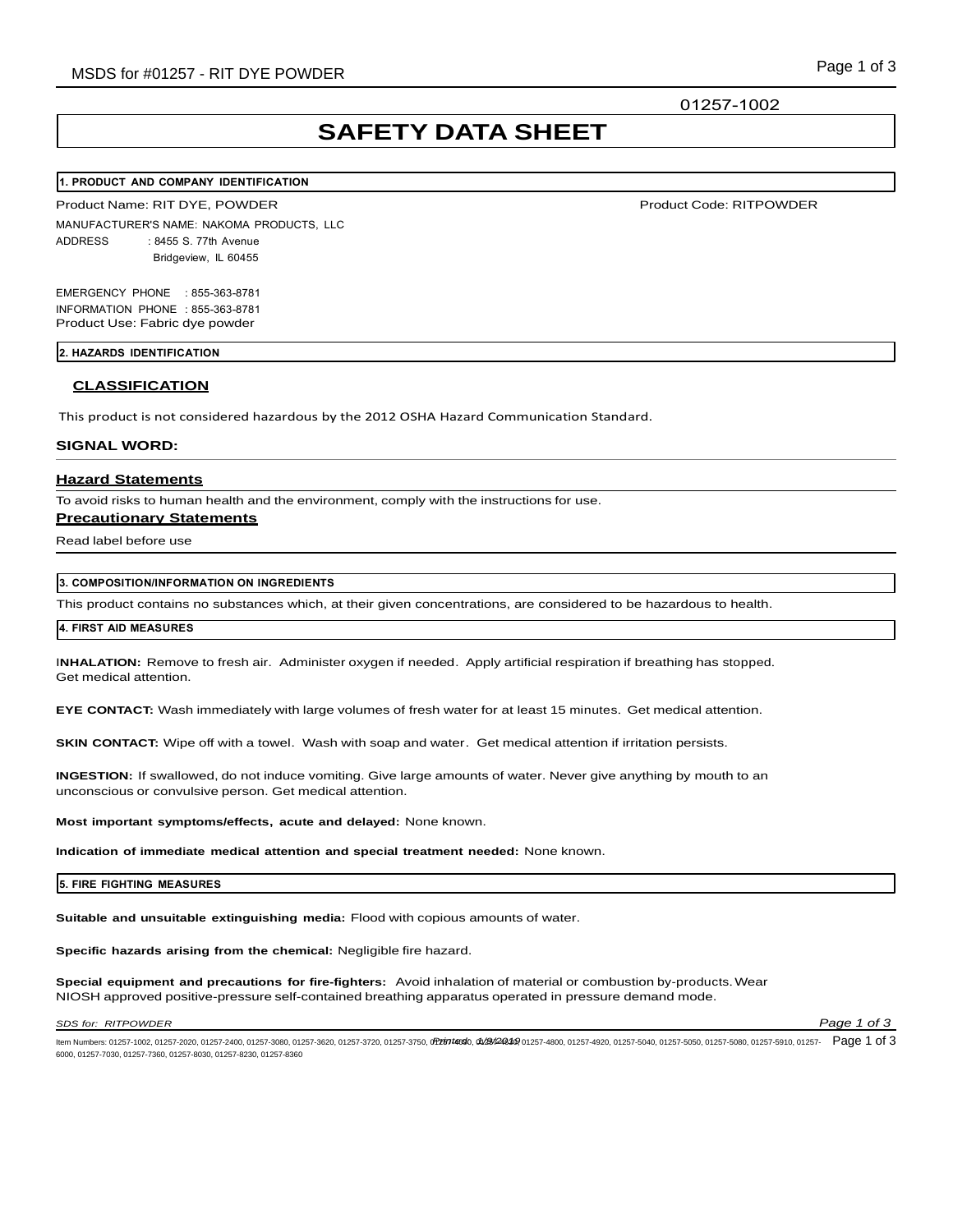01257-1002

# **SAFETY DATA SHEET**

#### **1. PRODUCT AND COMPANY IDENTIFICATION**

Product Name: RIT DYE, POWDER PRODUCT PRODUCT PRODUCT CODE: PRODUCT Code: RITPOWDER

MANUFACTURER'S NAME: NAKOMA PRODUCTS, LLC ADDRESS : 8455 S. 77th Avenue Bridgeview, IL 60455

EMERGENCY PHONE : 855-363-8781 INFORMATION PHONE : 855-363-8781 Product Use: Fabric dye powder

### **2. HAZARDS IDENTIFICATION**

## **CLASSIFICATION**

This product is not considered hazardous by the 2012 OSHA Hazard Communication Standard.

## **SIGNAL WORD:**

## **Hazard Statements**

To avoid risks to human health and the environment, comply with the instructions for use.

## **Precautionary Statements**

Read label before use

## **3. COMPOSITION/INFORMATION ON INGREDIENTS**

This product contains no substances which, at their given concentrations, are considered to be hazardous to health.

## **4. FIRST AID MEASURES**

I**NHALATION:** Remove to fresh air. Administer oxygen if needed. Apply artificial respiration if breathing has stopped. Get medical attention.

**EYE CONTACT:** Wash immediately with large volumes of fresh water for at least 15 minutes. Get medical attention.

**SKIN CONTACT:** Wipe off with a towel. Wash with soap and water. Get medical attention if irritation persists.

**INGESTION:** If swallowed, do not induce vomiting. Give large amounts of water. Never give anything by mouth to an unconscious or convulsive person. Get medical attention.

**Most important symptoms/effects, acute and delayed:** None known.

**Indication of immediate medical attention and special treatment needed:** None known.

## **5. FIRE FIGHTING MEASURES**

**Suitable and unsuitable extinguishing media:** Flood with copious amounts of water.

**Specific hazards arising from the chemical:** Negligible fire hazard.

**Special equipment and precautions for fire-fighters:** Avoid inhalation of material or combustion by-products.Wear NIOSH approved positive-pressure self-contained breathing apparatus operated in pressure demand mode.

#### *SDS for: RITPOWDER Page 1 of 3*

ltem Numbers: 01257-1002, 01257-2020, 01257-2400, 01257-3080, 01257-3620, 01257-3720, 01257-3750, 07257-750, 072574800, 01257-4800, 01257-4920, 01257-5040, 01257-5080, 01257-5080, 01257-5080, 01257-5080, 01257-5080, 01257-6000, 01257-7030, 01257-7360, 01257-8030, 01257-8230, 01257-8360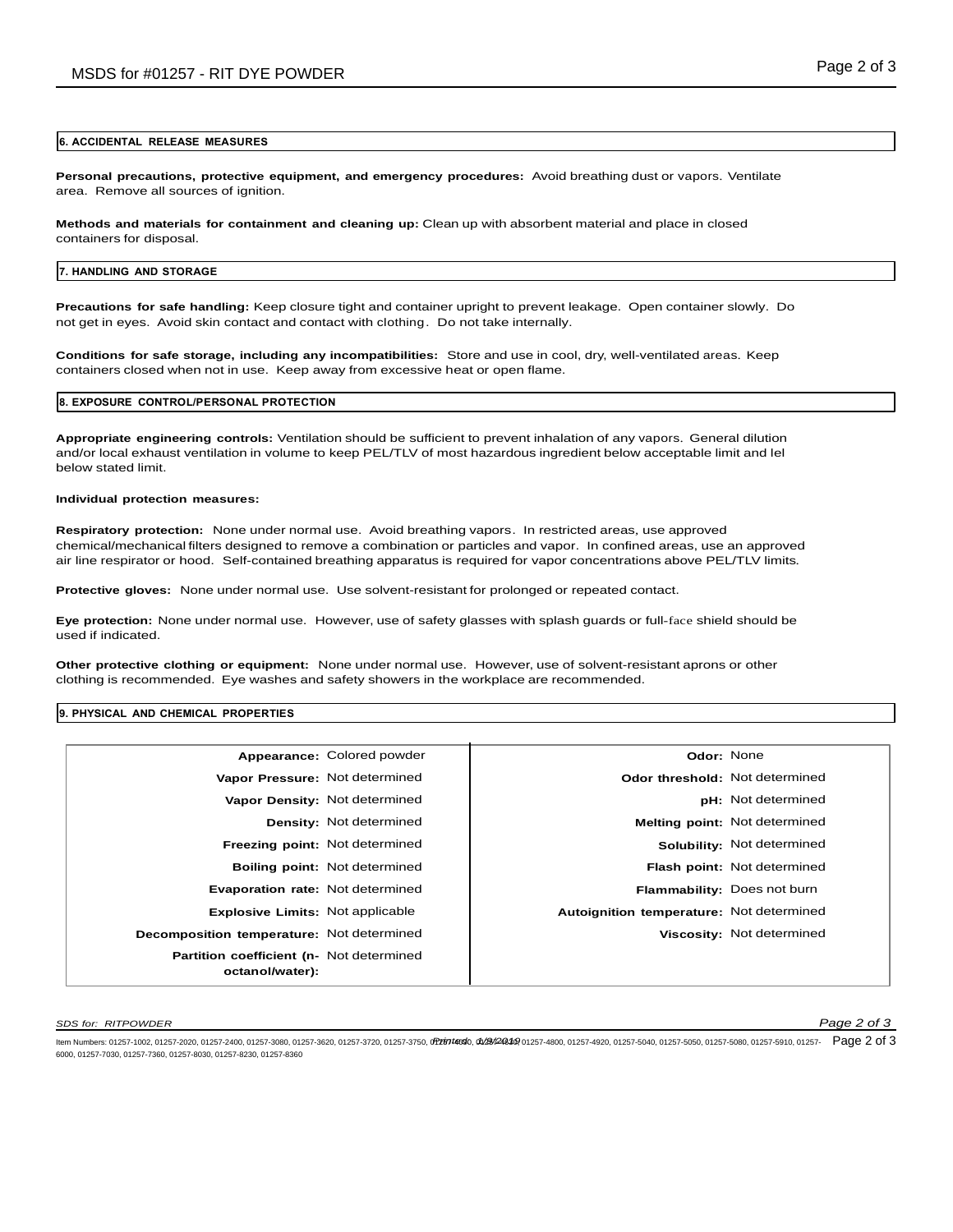### **6. ACCIDENTAL RELEASE MEASURES**

**Personal precautions, protective equipment, and emergency procedures:** Avoid breathing dust or vapors. Ventilate area. Remove all sources of ignition.

**Methods and materials for containment and cleaning up:** Clean up with absorbent material and place in closed containers for disposal.

#### **7. HANDLING AND STORAGE**

**Precautions for safe handling:** Keep closure tight and container upright to prevent leakage. Open container slowly. Do not get in eyes. Avoid skin contact and contact with clothing. Do not take internally.

**Conditions for safe storage, including any incompatibilities:** Store and use in cool, dry, well-ventilated areas. Keep containers closed when not in use. Keep away from excessive heat or open flame.

## **8. EXPOSURE CONTROL/PERSONAL PROTECTION**

**Appropriate engineering controls:** Ventilation should be sufficient to prevent inhalation of any vapors. General dilution and/or local exhaust ventilation in volume to keep PEL/TLV of most hazardous ingredient below acceptable limit and lel below stated limit.

**Individual protection measures:**

**Respiratory protection:** None under normal use. Avoid breathing vapors. In restricted areas, use approved chemical/mechanical filters designed to remove a combination or particles and vapor. In confined areas, use an approved air line respirator or hood. Self-contained breathing apparatus is required for vapor concentrations above PEL/TLV limits.

**Protective gloves:** None under normal use. Use solvent-resistant for prolonged or repeated contact.

**Eye protection:** None under normal use. However, use of safety glasses with splash guards or full-face shield should be used if indicated.

**Other protective clothing or equipment:** None under normal use. However, use of solvent-resistant aprons or other clothing is recommended. Eye washes and safety showers in the workplace are recommended.

#### **9. PHYSICAL AND CHEMICAL PROPERTIES**

| Appearance: Colored powder                                  |                                | Odor: None                               |                                      |
|-------------------------------------------------------------|--------------------------------|------------------------------------------|--------------------------------------|
| Vapor Pressure: Not determined                              |                                | Odor threshold: Not determined           |                                      |
| Vapor Density: Not determined                               |                                |                                          | <b>pH:</b> Not determined            |
|                                                             | <b>Density: Not determined</b> |                                          | <b>Melting point: Not determined</b> |
| <b>Freezing point: Not determined</b>                       |                                |                                          | Solubility: Not determined           |
| <b>Boiling point: Not determined</b>                        |                                |                                          | Flash point: Not determined          |
| Evaporation rate: Not determined                            |                                |                                          | Flammability: Does not burn          |
| <b>Explosive Limits: Not applicable</b>                     |                                | Autoignition temperature: Not determined |                                      |
| Decomposition temperature: Not determined                   |                                |                                          | Viscosity: Not determined            |
| Partition coefficient (n- Not determined<br>octanol/water): |                                |                                          |                                      |

*SDS for: RITPOWDER Page 2 of 3*

ltem Numbers: 01257-1002, 01257-2020, 01257-2400, 01257-3080, 01257-3620, 01257-3720, 01257-3750, 07257-750, 072574800, 01257-4800, 01257-4920, 01257-5040, 01257-5080, 01257-5080, 01257-5980, 01257-59910, 01257-5080, 01257 6000, 01257-7030, 01257-7360, 01257-8030, 01257-8230, 01257-8360